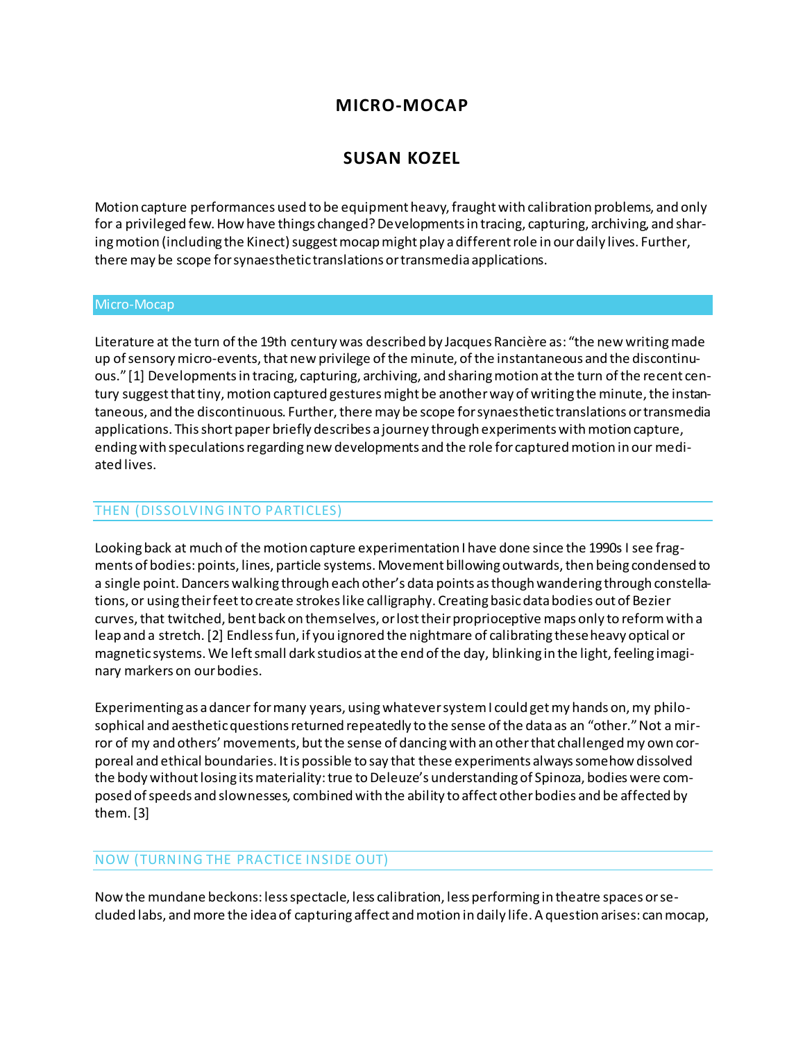## **MICRO-MOCAP**

# **SUSAN KOZEL**

Motion capture performances used to be equipment heavy, fraught with calibration problems, and only for a privileged few. How have things changed? Developments in tracing, capturing, archiving, and sharing motion (including the Kinect) suggest mocap might play a different role in our daily lives. Further, there may be scope for synaesthetic translations or transmedia applications.

#### Micro-Mocap

Literature at the turn of the 19th century was described by Jacques Rancière as: "the new writing made up of sensory micro-events, that new privilege of the minute, of the instantaneous and the discontinuous." [1] Developments in tracing, capturing, archiving, and sharing motion at the turn of the recent century suggest that tiny, motion captured gestures might be another way of writing the minute, the instantaneous, and the discontinuous. Further, there may be scope for synaesthetic translations or transmedia applications. This short paper briefly describes a journey through experiments with motion capture, ending with speculations regarding new developments and the role for captured motion in our mediated lives.

### THEN (DISSOLVING INTO PARTICLES)

Looking back at much of the motion capture experimentation I have done since the 1990s I see fragments of bodies: points, lines, particle systems. Movement billowing outwards, then being condensed to a single point. Dancers walking through each other's data points as though wandering through constellations, or using their feet to create strokes like calligraphy. Creating basic data bodies out of Bezier curves, that twitched, bent back on themselves, or lost their proprioceptive maps only to reform with a leap and a stretch. [2] Endless fun, if you ignored the nightmare of calibrating these heavy optical or magnetic systems. We left small dark studios at the end of the day, blinking in the light, feeling imaginary markers on our bodies.

Experimenting as a dancer for many years, using whatever system I could get my hands on, my philosophical and aesthetic questions returned repeatedly to the sense of the data as an "other." Not a mirror of my and others' movements, but the sense of dancing with an other that challenged my own corporeal and ethical boundaries. It is possible to say that these experiments always somehow dissolved the body without losing its materiality: true to Deleuze's understanding of Spinoza, bodies were composed of speeds and slownesses, combined with the ability to affect other bodies and be affected by them. [3]

## NOW (TURNING THE PRACTICE INSIDE OUT)

Now the mundane beckons: less spectacle, less calibration, less performing in theatre spaces or secluded labs, and more the idea of capturing affect and motion in daily life. A question arises: can mocap,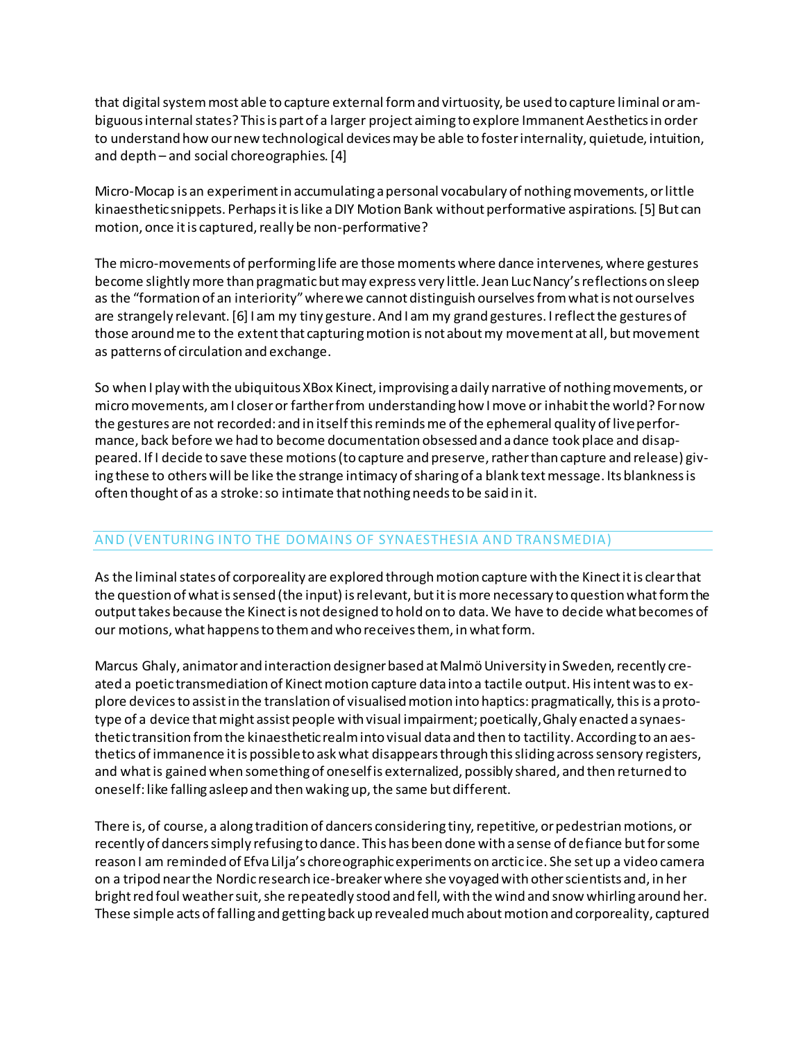that digital system most able to capture external form and virtuosity, be used to capture liminal or ambiguous internal states? This is part of a larger project aiming to explore Immanent Aesthetics in order to understand how our new technological devices may be able to foster internality, quietude, intuition, and depth – and social choreographies. [4]

Micro-Mocap is an experiment in accumulating a personal vocabulary of nothing movements, or little kinaesthetic snippets. Perhaps it is like a DIY Motion Bank without performative aspirations. [5] But can motion, once it is captured, really be non-performative?

The micro-movements of performing life are those moments where dance intervenes, where gestures become slightly more than pragmatic but may express very little. Jean Luc Nancy's reflections on sleep as the "formation of an interiority" where we cannot distinguish ourselves from what is not ourselves are strangely relevant. [6] I am my tiny gesture. And I am my grand gestures. I reflect the gestures of those around me to the extent that capturing motion is not about my movement at all, but movement as patterns of circulation and exchange.

So when I play with the ubiquitous XBox Kinect, improvising a daily narrative of nothing movements, or micro movements, am I closer or farther from understanding how I move or inhabit the world? For now the gestures are not recorded: and in itself this reminds me of the ephemeral quality of live performance, back before we had to become documentation obsessed and a dance took place and disappeared. If I decide to save these motions (to capture and preserve, rather than capture and release) giving these to others will be like the strange intimacy of sharing of a blank text message. Its blankness is often thought of as a stroke: so intimate that nothing needs to be said in it.

## AND (VENTURING INTO THE DOMAINS OF SYNAESTHESIA AND TRANSMEDIA)

As the liminal states of corporeality are explored through motion capture with the Kinect it is clear that the question of what is sensed (the input) is relevant, but it is more necessary to question what form the output takes because the Kinect is not designed to hold on to data. We have to decide what becomes of our motions, what happens to them and who receives them, in what form.

Marcus Ghaly, animator and interaction designer based at Malmö University in Sweden, recently created a poetic transmediation of Kinect motion capture data into a tactile output. His intent was to explore devices to assist in the translation of visualised motion into haptics: pragmatically, this is a prototype of a device that might assist people with visual impairment; poetically, Ghaly enacted a synaesthetic transition from the kinaesthetic realm into visual data and then to tactility. According to an aesthetics of immanence it is possible to ask what disappears through this sliding across sensory registers, and what is gained when something of oneself is externalized, possibly shared, and then returned to oneself: like falling asleep and then waking up, the same but different.

There is, of course, a along tradition of dancers considering tiny, repetitive, or pedestrian motions, or recently of dancers simply refusing to dance. This has been done with a sense of defiance but for some reason I am reminded of Efva Lilja's choreographic experiments on arctic ice. She set up a video camera on a tripod near the Nordic research ice-breaker where she voyaged with other scientists and, in her bright red foul weather suit, she repeatedly stood and fell, with the wind and snow whirling around her. These simple acts of falling and getting back up revealed much about motion and corporeality, captured